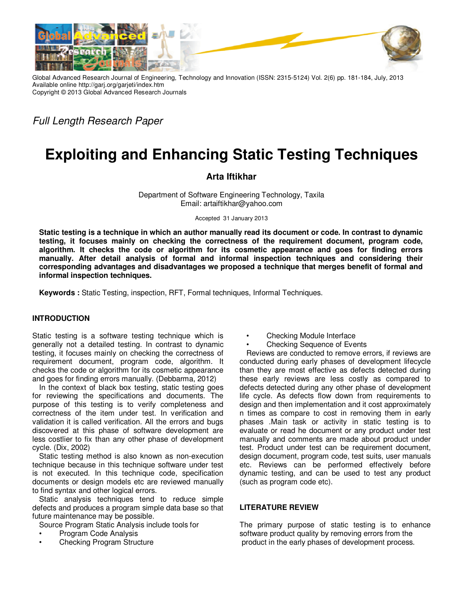

Global Advanced Research Journal of Engineering, Technology and Innovation (ISSN: 2315-5124) Vol. 2(6) pp. 181-184, July, 2013 Available online http://garj.org/garjeti/index.htm Copyright © 2013 Global Advanced Research Journals

Full Length Research Paper

# **Exploiting and Enhancing Static Testing Techniques**

# **Arta Iftikhar**

Department of Software Engineering Technology, Taxila Email: artaiftikhar@yahoo.com

Accepted 31 January 2013

**Static testing is a technique in which an author manually read its document or code. In contrast to dynamic testing, it focuses mainly on checking the correctness of the requirement document, program code, algorithm. It checks the code or algorithm for its cosmetic appearance and goes for finding errors manually. After detail analysis of formal and informal inspection techniques and considering their corresponding advantages and disadvantages we proposed a technique that merges benefit of formal and informal inspection techniques.** 

**Keywords :** Static Testing, inspection, RFT, Formal techniques, Informal Techniques.

# **INTRODUCTION**

Static testing is a software testing technique which is generally not a detailed testing. In contrast to dynamic testing, it focuses mainly on checking the correctness of requirement document, program code, algorithm. It checks the code or algorithm for its cosmetic appearance and goes for finding errors manually. (Debbarma, 2012)

In the context of black box testing, static testing goes for reviewing the specifications and documents. The purpose of this testing is to verify completeness and correctness of the item under test. In verification and validation it is called verification. All the errors and bugs discovered at this phase of software development are less costlier to fix than any other phase of development cycle. (Dix, 2002)

Static testing method is also known as non-execution technique because in this technique software under test is not executed. In this technique code, specification documents or design models etc are reviewed manually to find syntax and other logical errors.

Static analysis techniques tend to reduce simple defects and produces a program simple data base so that future maintenance may be possible.

Source Program Static Analysis include tools for

- Program Code Analysis
- Checking Program Structure
- Checking Module Interface
- Checking Sequence of Events

Reviews are conducted to remove errors, if reviews are conducted during early phases of development lifecycle than they are most effective as defects detected during these early reviews are less costly as compared to defects detected during any other phase of development life cycle. As defects flow down from requirements to design and then implementation and it cost approximately n times as compare to cost in removing them in early phases .Main task or activity in static testing is to evaluate or read he document or any product under test manually and comments are made about product under test. Product under test can be requirement document, design document, program code, test suits, user manuals etc. Reviews can be performed effectively before dynamic testing, and can be used to test any product (such as program code etc).

# **LITERATURE REVIEW**

The primary purpose of static testing is to enhance software product quality by removing errors from the product in the early phases of development process.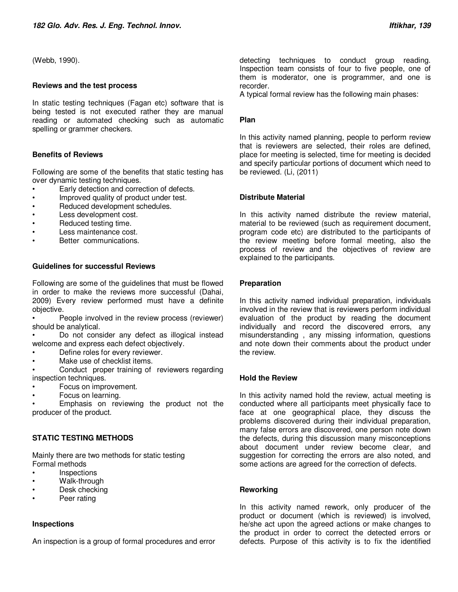(Webb, 1990).

### **Reviews and the test process**

In static testing techniques (Fagan etc) software that is being tested is not executed rather they are manual reading or automated checking such as automatic spelling or grammer checkers.

# **Benefits of Reviews**

Following are some of the benefits that static testing has over dynamic testing techniques.

- Early detection and correction of defects.
- Improved quality of product under test.
- Reduced development schedules.
- Less development cost.
- Reduced testing time.
- Less maintenance cost.
- Better communications.

# **Guidelines for successful Reviews**

Following are some of the guidelines that must be flowed in order to make the reviews more successful (Dahai, 2009) Every review performed must have a definite objective.

People involved in the review process (reviewer) should be analytical.

Do not consider any defect as illogical instead welcome and express each defect objectively.

- Define roles for every reviewer.
- Make use of checklist items.

Conduct proper training of reviewers regarding inspection techniques.

- Focus on improvement.
- Focus on learning.

Emphasis on reviewing the product not the producer of the product.

# **STATIC TESTING METHODS**

Mainly there are two methods for static testing Formal methods

- **Inspections**
- Walk-through
- Desk checking
- Peer rating

# **Inspections**

An inspection is a group of formal procedures and error

detecting techniques to conduct group reading. Inspection team consists of four to five people, one of them is moderator, one is programmer, and one is recorder.

A typical formal review has the following main phases:

# **Plan**

In this activity named planning, people to perform review that is reviewers are selected, their roles are defined, place for meeting is selected, time for meeting is decided and specify particular portions of document which need to be reviewed. (Li, (2011)

# **Distribute Material**

In this activity named distribute the review material, material to be reviewed (such as requirement document, program code etc) are distributed to the participants of the review meeting before formal meeting, also the process of review and the objectives of review are explained to the participants.

# **Preparation**

In this activity named individual preparation, individuals involved in the review that is reviewers perform individual evaluation of the product by reading the document individually and record the discovered errors, any misunderstanding , any missing information, questions and note down their comments about the product under the review.

# **Hold the Review**

In this activity named hold the review, actual meeting is conducted where all participants meet physically face to face at one geographical place, they discuss the problems discovered during their individual preparation, many false errors are discovered, one person note down the defects, during this discussion many misconceptions about document under review become clear, and suggestion for correcting the errors are also noted, and some actions are agreed for the correction of defects.

# **Reworking**

In this activity named rework, only producer of the product or document (which is reviewed) is involved, he/she act upon the agreed actions or make changes to the product in order to correct the detected errors or defects. Purpose of this activity is to fix the identified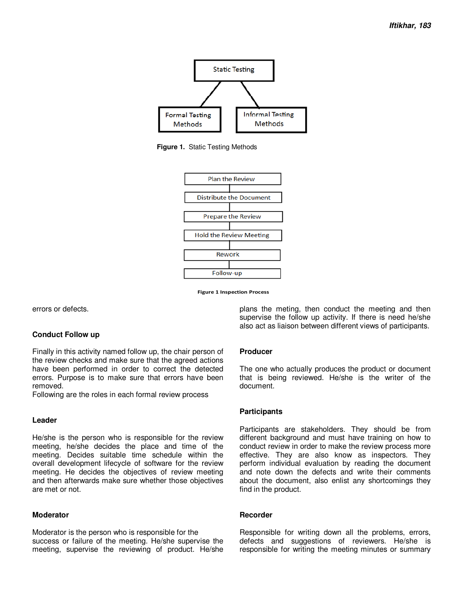

**Figure 1.** Static Testing Methods



**Figure 1 Inspection Process** 

errors or defects.

#### **Conduct Follow up**

Finally in this activity named follow up, the chair person of the review checks and make sure that the agreed actions have been performed in order to correct the detected errors. Purpose is to make sure that errors have been removed.

Following are the roles in each formal review process

#### **Leader**

He/she is the person who is responsible for the review meeting, he/she decides the place and time of the meeting. Decides suitable time schedule within the overall development lifecycle of software for the review meeting. He decides the objectives of review meeting and then afterwards make sure whether those objectives are met or not.

#### **Moderator**

Moderator is the person who is responsible for the success or failure of the meeting. He/she supervise the meeting, supervise the reviewing of product. He/she plans the meting, then conduct the meeting and then supervise the follow up activity. If there is need he/she also act as liaison between different views of participants.

# **Producer**

The one who actually produces the product or document that is being reviewed. He/she is the writer of the document.

# **Participants**

Participants are stakeholders. They should be from different background and must have training on how to conduct review in order to make the review process more effective. They are also know as inspectors. They perform individual evaluation by reading the document and note down the defects and write their comments about the document, also enlist any shortcomings they find in the product.

#### **Recorder**

Responsible for writing down all the problems, errors, defects and suggestions of reviewers. He/she is responsible for writing the meeting minutes or summary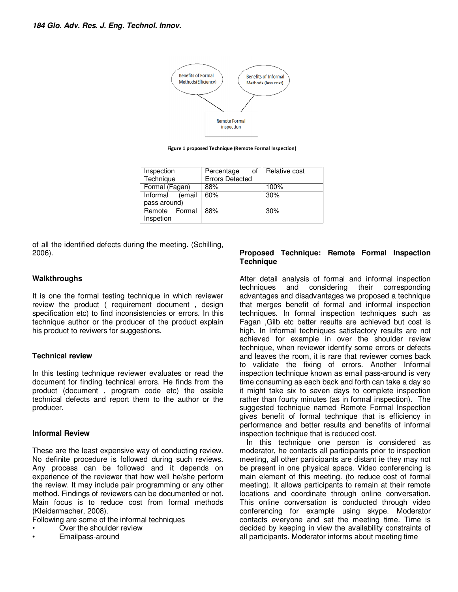

**Figure 1 proposed Technique (Remote Formal Inspection)**

| Inspection<br>Technique            | Percentage<br>οf<br><b>Errors Detected</b> | Relative cost |
|------------------------------------|--------------------------------------------|---------------|
| Formal (Fagan)                     | 88%                                        | 100%          |
| (email<br>Informal<br>pass around) | 60%                                        | 30%           |
| Remote Formal<br>Inspetion         | 88%                                        | 30%           |

of all the identified defects during the meeting. (Schilling, 2006).

# **Walkthroughs**

It is one the formal testing technique in which reviewer review the product ( requirement document , design specification etc) to find inconsistencies or errors. In this technique author or the producer of the product explain his product to reviwers for suggestions.

# **Technical review**

In this testing technique reviewer evaluates or read the document for finding technical errors. He finds from the product (document , program code etc) the ossible technical defects and report them to the author or the producer.

# **Informal Review**

These are the least expensive way of conducting review. No definite procedure is followed during such reviews. Any process can be followed and it depends on experience of the reviewer that how well he/she perform the review. It may include pair programming or any other method. Findings of reviewers can be documented or not. Main focus is to reduce cost from formal methods (Kleidermacher, 2008).

- Following are some of the informal techniques
- Over the shoulder review
- Emailpass-around

# **Proposed Technique: Remote Formal Inspection Technique**

After detail analysis of formal and informal inspection<br>techniques and considering their corresponding corresponding advantages and disadvantages we proposed a technique that merges benefit of formal and informal inspection techniques. In formal inspection techniques such as Fagan ,Gilb etc better results are achieved but cost is high. In Informal techniques satisfactory results are not achieved for example in over the shoulder review technique, when reviewer identify some errors or defects and leaves the room, it is rare that reviewer comes back to validate the fixing of errors. Another Informal inspection technique known as email pass-around is very time consuming as each back and forth can take a day so it might take six to seven days to complete inspection rather than fourty minutes (as in formal inspection). The suggested technique named Remote Formal Inspection gives benefit of formal technique that is efficiency in performance and better results and benefits of informal inspection technique that is reduced cost.

In this technique one person is considered as moderator, he contacts all participants prior to inspection meeting, all other participants are distant ie they may not be present in one physical space. Video conferencing is main element of this meeting. (to reduce cost of formal meeting). It allows participants to remain at their remote locations and coordinate through online conversation. This online conversation is conducted through video conferencing for example using skype. Moderator contacts everyone and set the meeting time. Time is decided by keeping in view the availability constraints of all participants. Moderator informs about meeting time